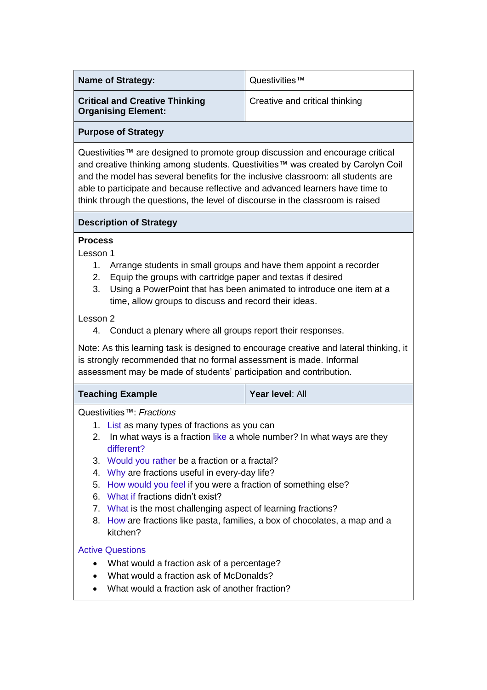| <b>Name of Strategy:</b>                                                                                                                                                                                                                                                                                                                                                                                                                                                                                                                                                                                                | Questivities™                  |
|-------------------------------------------------------------------------------------------------------------------------------------------------------------------------------------------------------------------------------------------------------------------------------------------------------------------------------------------------------------------------------------------------------------------------------------------------------------------------------------------------------------------------------------------------------------------------------------------------------------------------|--------------------------------|
| <b>Critical and Creative Thinking</b><br><b>Organising Element:</b>                                                                                                                                                                                                                                                                                                                                                                                                                                                                                                                                                     | Creative and critical thinking |
| <b>Purpose of Strategy</b>                                                                                                                                                                                                                                                                                                                                                                                                                                                                                                                                                                                              |                                |
| Questivities™ are designed to promote group discussion and encourage critical<br>and creative thinking among students. Questivities™ was created by Carolyn Coil<br>and the model has several benefits for the inclusive classroom: all students are<br>able to participate and because reflective and advanced learners have time to<br>think through the questions, the level of discourse in the classroom is raised                                                                                                                                                                                                 |                                |
| <b>Description of Strategy</b>                                                                                                                                                                                                                                                                                                                                                                                                                                                                                                                                                                                          |                                |
| Lesson 1<br>Arrange students in small groups and have them appoint a recorder<br>1.<br>Equip the groups with cartridge paper and textas if desired<br>2.<br>Using a PowerPoint that has been animated to introduce one item at a<br>3.<br>time, allow groups to discuss and record their ideas.<br>Lesson 2<br>Conduct a plenary where all groups report their responses.<br>4.<br>Note: As this learning task is designed to encourage creative and lateral thinking, it<br>is strongly recommended that no formal assessment is made. Informal<br>assessment may be made of students' participation and contribution. |                                |
| <b>Teaching Example</b>                                                                                                                                                                                                                                                                                                                                                                                                                                                                                                                                                                                                 | Year level: All                |
| Questivities™: Fractions<br>1. List as many types of fractions as you can<br>2. In what ways is a fraction like a whole number? In what ways are they<br>different?<br>3. Would you rather be a fraction or a fractal?<br>4. Why are fractions useful in every-day life?<br>How would you feel if you were a fraction of something else?<br>5.<br>6. What if fractions didn't exist?<br>7. What is the most challenging aspect of learning fractions?<br>8. How are fractions like pasta, families, a box of chocolates, a map and a<br>kitchen?<br><b>Active Questions</b><br>$\bullet$                                |                                |
| What would a fraction ask of a percentage?<br>What would a fraction ask of McDonalds?<br>What would a fraction ask of another fraction?                                                                                                                                                                                                                                                                                                                                                                                                                                                                                 |                                |